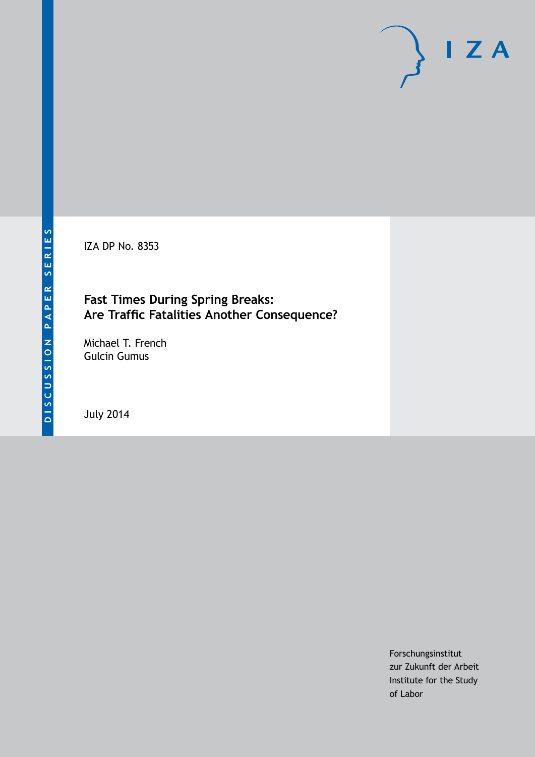IZA DP No. 8353

# **Fast Times During Spring Breaks: Are Traffic Fatalities Another Consequence?**

Michael T. French Gulcin Gumus

July 2014

Forschungsinstitut zur Zukunft der Arbeit Institute for the Study of Labor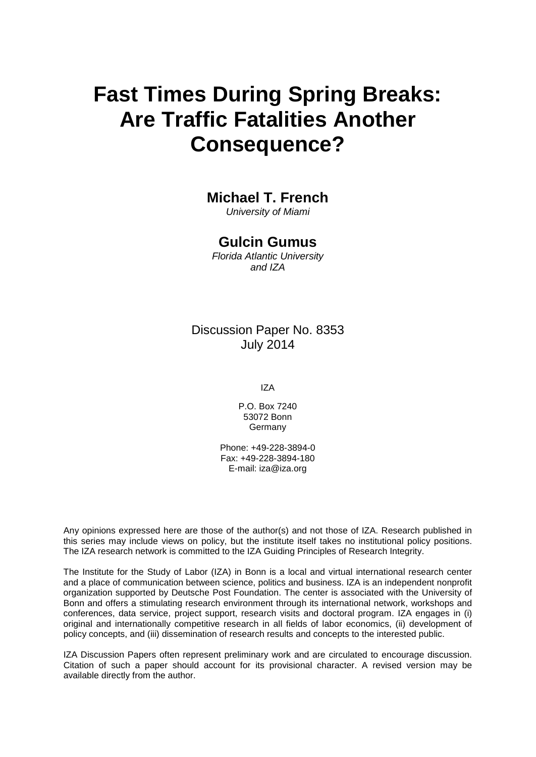# **Fast Times During Spring Breaks: Are Traffic Fatalities Another Consequence?**

## **Michael T. French**

*University of Miami*

### **Gulcin Gumus**

*Florida Atlantic University and IZA*

### Discussion Paper No. 8353 July 2014

IZA

P.O. Box 7240 53072 Bonn **Germany** 

Phone: +49-228-3894-0 Fax: +49-228-3894-180 E-mail: [iza@iza.org](mailto:iza@iza.org)

Any opinions expressed here are those of the author(s) and not those of IZA. Research published in this series may include views on policy, but the institute itself takes no institutional policy positions. The IZA research network is committed to the IZA Guiding Principles of Research Integrity.

The Institute for the Study of Labor (IZA) in Bonn is a local and virtual international research center and a place of communication between science, politics and business. IZA is an independent nonprofit organization supported by Deutsche Post Foundation. The center is associated with the University of Bonn and offers a stimulating research environment through its international network, workshops and conferences, data service, project support, research visits and doctoral program. IZA engages in (i) original and internationally competitive research in all fields of labor economics, (ii) development of policy concepts, and (iii) dissemination of research results and concepts to the interested public.

<span id="page-1-0"></span>IZA Discussion Papers often represent preliminary work and are circulated to encourage discussion. Citation of such a paper should account for its provisional character. A revised version may be available directly from the author.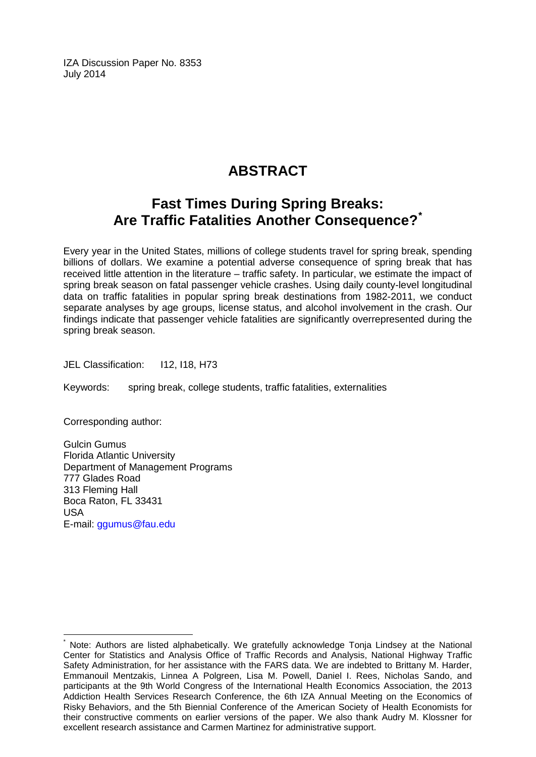IZA Discussion Paper No. 8353 July 2014

# **ABSTRACT**

# **Fast Times During Spring Breaks: Are Traffic Fatalities Another Consequence?[\\*](#page-1-0)**

Every year in the United States, millions of college students travel for spring break, spending billions of dollars. We examine a potential adverse consequence of spring break that has received little attention in the literature – traffic safety. In particular, we estimate the impact of spring break season on fatal passenger vehicle crashes. Using daily county-level longitudinal data on traffic fatalities in popular spring break destinations from 1982-2011, we conduct separate analyses by age groups, license status, and alcohol involvement in the crash. Our findings indicate that passenger vehicle fatalities are significantly overrepresented during the spring break season.

JEL Classification: I12, I18, H73

Keywords: spring break, college students, traffic fatalities, externalities

Corresponding author:

Gulcin Gumus Florida Atlantic University Department of Management Programs 777 Glades Road 313 Fleming Hall Boca Raton, FL 33431 USA E-mail: [ggumus@fau.edu](mailto:ggumus@fau.edu)

Note: Authors are listed alphabetically. We gratefully acknowledge Tonja Lindsey at the National Center for Statistics and Analysis Office of Traffic Records and Analysis, National Highway Traffic Safety Administration, for her assistance with the FARS data. We are indebted to Brittany M. Harder, Emmanouil Mentzakis, Linnea A Polgreen, Lisa M. Powell, Daniel I. Rees, Nicholas Sando, and participants at the 9th World Congress of the International Health Economics Association, the 2013 Addiction Health Services Research Conference, the 6th IZA Annual Meeting on the Economics of Risky Behaviors, and the 5th Biennial Conference of the American Society of Health Economists for their constructive comments on earlier versions of the paper. We also thank Audry M. Klossner for excellent research assistance and Carmen Martinez for administrative support.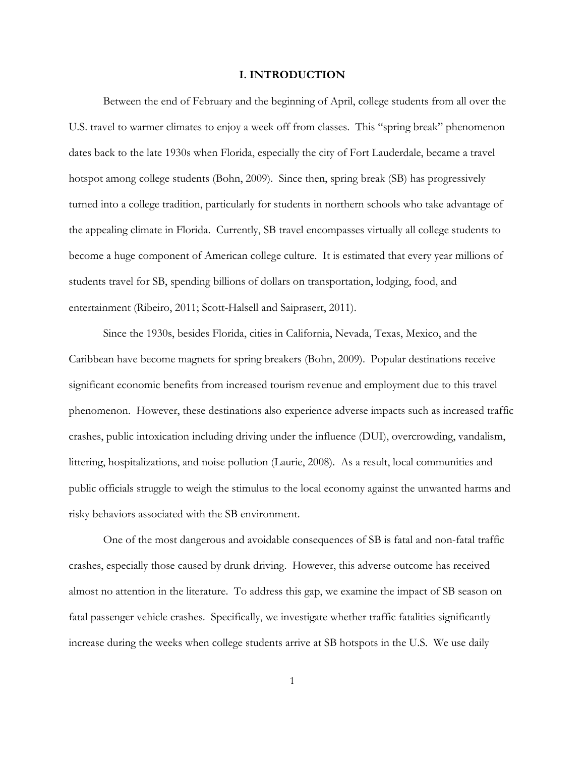#### **I. INTRODUCTION**

Between the end of February and the beginning of April, college students from all over the U.S. travel to warmer climates to enjoy a week off from classes. This "spring break" phenomenon dates back to the late 1930s when Florida, especially the city of Fort Lauderdale, became a travel hotspot among college students (Bohn, 2009). Since then, spring break (SB) has progressively turned into a college tradition, particularly for students in northern schools who take advantage of the appealing climate in Florida. Currently, SB travel encompasses virtually all college students to become a huge component of American college culture. It is estimated that every year millions of students travel for SB, spending billions of dollars on transportation, lodging, food, and entertainment (Ribeiro, 2011; Scott-Halsell and Saiprasert, 2011).

Since the 1930s, besides Florida, cities in California, Nevada, Texas, Mexico, and the Caribbean have become magnets for spring breakers (Bohn, 2009). Popular destinations receive significant economic benefits from increased tourism revenue and employment due to this travel phenomenon. However, these destinations also experience adverse impacts such as increased traffic crashes, public intoxication including driving under the influence (DUI), overcrowding, vandalism, littering, hospitalizations, and noise pollution (Laurie, 2008). As a result, local communities and public officials struggle to weigh the stimulus to the local economy against the unwanted harms and risky behaviors associated with the SB environment.

One of the most dangerous and avoidable consequences of SB is fatal and non-fatal traffic crashes, especially those caused by drunk driving. However, this adverse outcome has received almost no attention in the literature. To address this gap, we examine the impact of SB season on fatal passenger vehicle crashes. Specifically, we investigate whether traffic fatalities significantly increase during the weeks when college students arrive at SB hotspots in the U.S. We use daily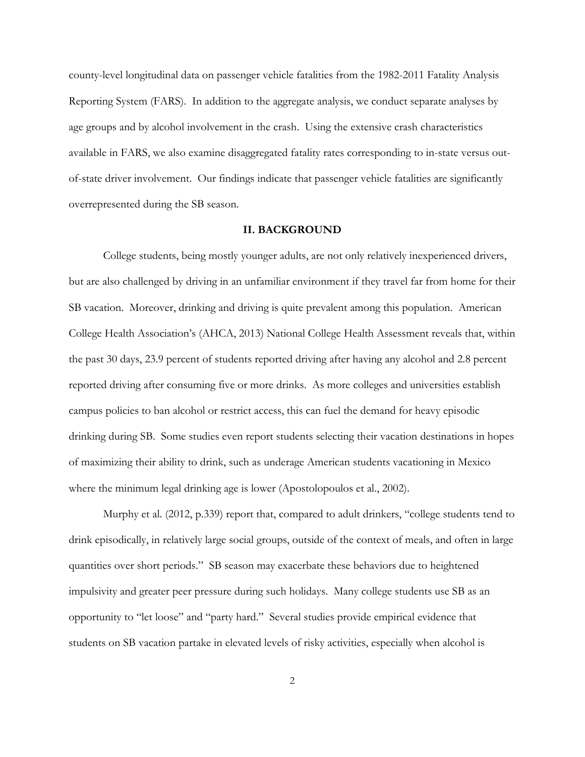county-level longitudinal data on passenger vehicle fatalities from the 1982-2011 Fatality Analysis Reporting System (FARS). In addition to the aggregate analysis, we conduct separate analyses by age groups and by alcohol involvement in the crash. Using the extensive crash characteristics available in FARS, we also examine disaggregated fatality rates corresponding to in-state versus outof-state driver involvement. Our findings indicate that passenger vehicle fatalities are significantly overrepresented during the SB season.

#### **II. BACKGROUND**

College students, being mostly younger adults, are not only relatively inexperienced drivers, but are also challenged by driving in an unfamiliar environment if they travel far from home for their SB vacation. Moreover, drinking and driving is quite prevalent among this population. American College Health Association's (AHCA, 2013) National College Health Assessment reveals that, within the past 30 days, 23.9 percent of students reported driving after having any alcohol and 2.8 percent reported driving after consuming five or more drinks. As more colleges and universities establish campus policies to ban alcohol or restrict access, this can fuel the demand for heavy episodic drinking during SB. Some studies even report students selecting their vacation destinations in hopes of maximizing their ability to drink, such as underage American students vacationing in Mexico where the minimum legal drinking age is lower (Apostolopoulos et al., 2002).

Murphy et al. (2012, p.339) report that, compared to adult drinkers, "college students tend to drink episodically, in relatively large social groups, outside of the context of meals, and often in large quantities over short periods." SB season may exacerbate these behaviors due to heightened impulsivity and greater peer pressure during such holidays. Many college students use SB as an opportunity to "let loose" and "party hard." Several studies provide empirical evidence that students on SB vacation partake in elevated levels of risky activities, especially when alcohol is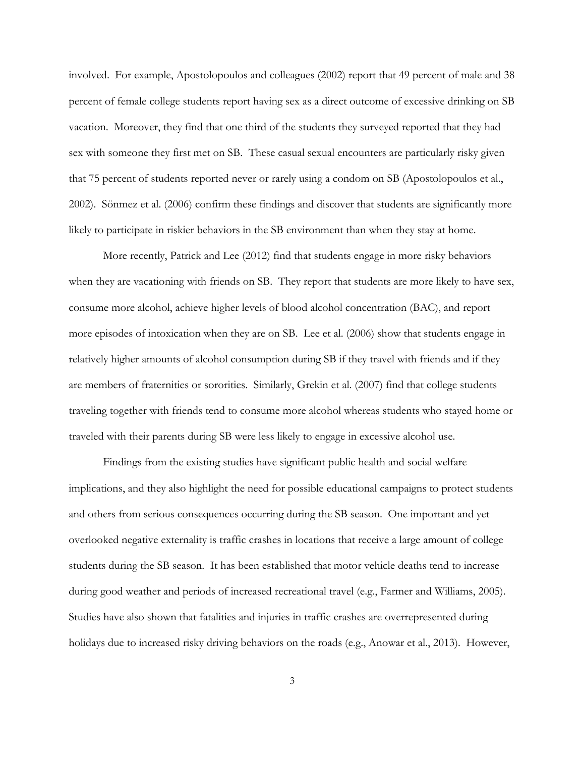involved. For example, Apostolopoulos and colleagues (2002) report that 49 percent of male and 38 percent of female college students report having sex as a direct outcome of excessive drinking on SB vacation. Moreover, they find that one third of the students they surveyed reported that they had sex with someone they first met on SB. These casual sexual encounters are particularly risky given that 75 percent of students reported never or rarely using a condom on SB (Apostolopoulos et al., 2002). Sönmez et al. (2006) confirm these findings and discover that students are significantly more likely to participate in riskier behaviors in the SB environment than when they stay at home.

More recently, Patrick and Lee (2012) find that students engage in more risky behaviors when they are vacationing with friends on SB. They report that students are more likely to have sex, consume more alcohol, achieve higher levels of blood alcohol concentration (BAC), and report more episodes of intoxication when they are on SB. Lee et al. (2006) show that students engage in relatively higher amounts of alcohol consumption during SB if they travel with friends and if they are members of fraternities or sororities. Similarly, Grekin et al. (2007) find that college students traveling together with friends tend to consume more alcohol whereas students who stayed home or traveled with their parents during SB were less likely to engage in excessive alcohol use.

Findings from the existing studies have significant public health and social welfare implications, and they also highlight the need for possible educational campaigns to protect students and others from serious consequences occurring during the SB season. One important and yet overlooked negative externality is traffic crashes in locations that receive a large amount of college students during the SB season. It has been established that motor vehicle deaths tend to increase during good weather and periods of increased recreational travel (e.g., Farmer and Williams, 2005). Studies have also shown that fatalities and injuries in traffic crashes are overrepresented during holidays due to increased risky driving behaviors on the roads (e.g., Anowar et al., 2013). However,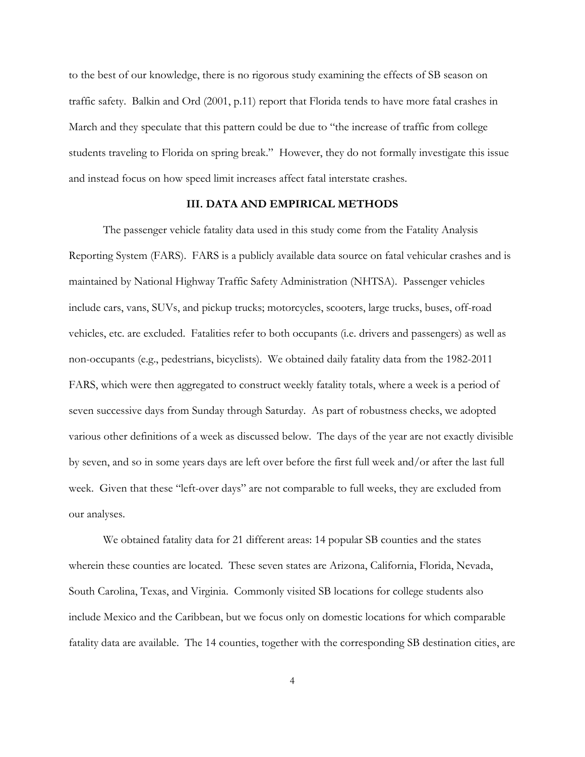to the best of our knowledge, there is no rigorous study examining the effects of SB season on traffic safety. Balkin and Ord (2001, p.11) report that Florida tends to have more fatal crashes in March and they speculate that this pattern could be due to "the increase of traffic from college students traveling to Florida on spring break." However, they do not formally investigate this issue and instead focus on how speed limit increases affect fatal interstate crashes.

#### **III. DATA AND EMPIRICAL METHODS**

The passenger vehicle fatality data used in this study come from the Fatality Analysis Reporting System (FARS). FARS is a publicly available data source on fatal vehicular crashes and is maintained by National Highway Traffic Safety Administration (NHTSA). Passenger vehicles include cars, vans, SUVs, and pickup trucks; motorcycles, scooters, large trucks, buses, off-road vehicles, etc. are excluded. Fatalities refer to both occupants (i.e. drivers and passengers) as well as non-occupants (e.g., pedestrians, bicyclists). We obtained daily fatality data from the 1982-2011 FARS, which were then aggregated to construct weekly fatality totals, where a week is a period of seven successive days from Sunday through Saturday. As part of robustness checks, we adopted various other definitions of a week as discussed below. The days of the year are not exactly divisible by seven, and so in some years days are left over before the first full week and/or after the last full week. Given that these "left-over days" are not comparable to full weeks, they are excluded from our analyses.

We obtained fatality data for 21 different areas: 14 popular SB counties and the states wherein these counties are located. These seven states are Arizona, California, Florida, Nevada, South Carolina, Texas, and Virginia. Commonly visited SB locations for college students also include Mexico and the Caribbean, but we focus only on domestic locations for which comparable fatality data are available. The 14 counties, together with the corresponding SB destination cities, are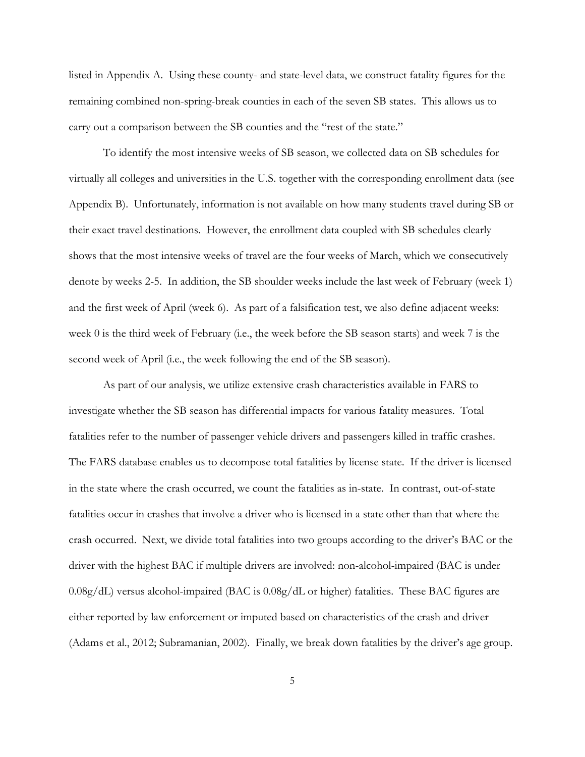listed in Appendix A. Using these county- and state-level data, we construct fatality figures for the remaining combined non-spring-break counties in each of the seven SB states. This allows us to carry out a comparison between the SB counties and the "rest of the state."

To identify the most intensive weeks of SB season, we collected data on SB schedules for virtually all colleges and universities in the U.S. together with the corresponding enrollment data (see Appendix B). Unfortunately, information is not available on how many students travel during SB or their exact travel destinations. However, the enrollment data coupled with SB schedules clearly shows that the most intensive weeks of travel are the four weeks of March, which we consecutively denote by weeks 2-5. In addition, the SB shoulder weeks include the last week of February (week 1) and the first week of April (week 6). As part of a falsification test, we also define adjacent weeks: week 0 is the third week of February (i.e., the week before the SB season starts) and week 7 is the second week of April (i.e., the week following the end of the SB season).

As part of our analysis, we utilize extensive crash characteristics available in FARS to investigate whether the SB season has differential impacts for various fatality measures. Total fatalities refer to the number of passenger vehicle drivers and passengers killed in traffic crashes. The FARS database enables us to decompose total fatalities by license state. If the driver is licensed in the state where the crash occurred, we count the fatalities as in-state. In contrast, out-of-state fatalities occur in crashes that involve a driver who is licensed in a state other than that where the crash occurred. Next, we divide total fatalities into two groups according to the driver's BAC or the driver with the highest BAC if multiple drivers are involved: non-alcohol-impaired (BAC is under 0.08g/dL) versus alcohol-impaired (BAC is 0.08g/dL or higher) fatalities. These BAC figures are either reported by law enforcement or imputed based on characteristics of the crash and driver (Adams et al., 2012; Subramanian, 2002). Finally, we break down fatalities by the driver's age group.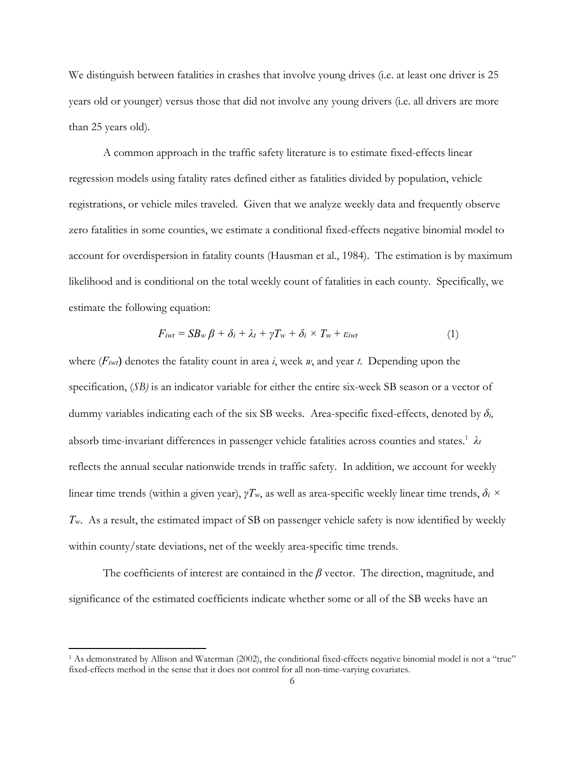We distinguish between fatalities in crashes that involve young drives (i.e. at least one driver is 25 years old or younger) versus those that did not involve any young drivers (i.e. all drivers are more than 25 years old).

A common approach in the traffic safety literature is to estimate fixed-effects linear regression models using fatality rates defined either as fatalities divided by population, vehicle registrations, or vehicle miles traveled. Given that we analyze weekly data and frequently observe zero fatalities in some counties, we estimate a conditional fixed-effects negative binomial model to account for overdispersion in fatality counts (Hausman et al., 1984). The estimation is by maximum likelihood and is conditional on the total weekly count of fatalities in each county. Specifically, we estimate the following equation:

$$
F_{iwt} = SB_w \beta + \delta_i + \lambda_t + \gamma T_w + \delta_i \times T_w + \varepsilon_{iwt}
$$
\n(1)

where (*Fiwt*) denotes the fatality count in area *i*, week *w*, and year *t*. Depending upon the specification, (*SB)* is an indicator variable for either the entire six-week SB season or a vector of dummy variables indicating each of the six SB weeks. Area-specific fixed-effects, denoted by *δi,* absorb time-invariant differences in passenger vehicle fatalities across counties and states.1 *λ<sup>t</sup>* reflects the annual secular nationwide trends in traffic safety. In addition, we account for weekly linear time trends (within a given year), *γTw*, as well as area-specific weekly linear time trends, *δi × Tw*. As a result, the estimated impact of SB on passenger vehicle safety is now identified by weekly within county/state deviations, net of the weekly area-specific time trends.

The coefficients of interest are contained in the *β* vector. The direction, magnitude, and significance of the estimated coefficients indicate whether some or all of the SB weeks have an

<sup>1</sup> As demonstrated by Allison and Waterman (2002), the conditional fixed-effects negative binomial model is not a "true" fixed-effects method in the sense that it does not control for all non-time-varying covariates.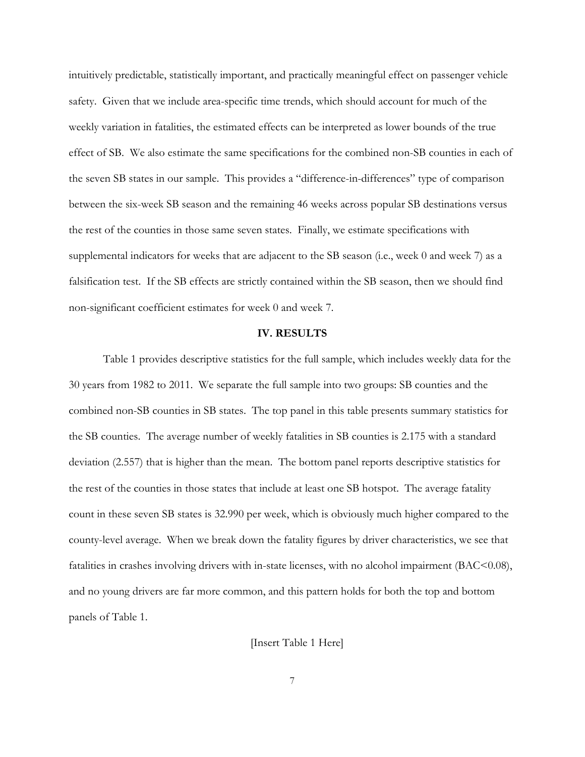intuitively predictable, statistically important, and practically meaningful effect on passenger vehicle safety. Given that we include area-specific time trends, which should account for much of the weekly variation in fatalities, the estimated effects can be interpreted as lower bounds of the true effect of SB. We also estimate the same specifications for the combined non-SB counties in each of the seven SB states in our sample. This provides a "difference-in-differences" type of comparison between the six-week SB season and the remaining 46 weeks across popular SB destinations versus the rest of the counties in those same seven states. Finally, we estimate specifications with supplemental indicators for weeks that are adjacent to the SB season (i.e., week 0 and week 7) as a falsification test. If the SB effects are strictly contained within the SB season, then we should find non-significant coefficient estimates for week 0 and week 7.

#### **IV. RESULTS**

Table 1 provides descriptive statistics for the full sample, which includes weekly data for the 30 years from 1982 to 2011. We separate the full sample into two groups: SB counties and the combined non-SB counties in SB states. The top panel in this table presents summary statistics for the SB counties. The average number of weekly fatalities in SB counties is 2.175 with a standard deviation (2.557) that is higher than the mean. The bottom panel reports descriptive statistics for the rest of the counties in those states that include at least one SB hotspot. The average fatality count in these seven SB states is 32.990 per week, which is obviously much higher compared to the county-level average. When we break down the fatality figures by driver characteristics, we see that fatalities in crashes involving drivers with in-state licenses, with no alcohol impairment (BAC<0.08), and no young drivers are far more common, and this pattern holds for both the top and bottom panels of Table 1.

[Insert Table 1 Here]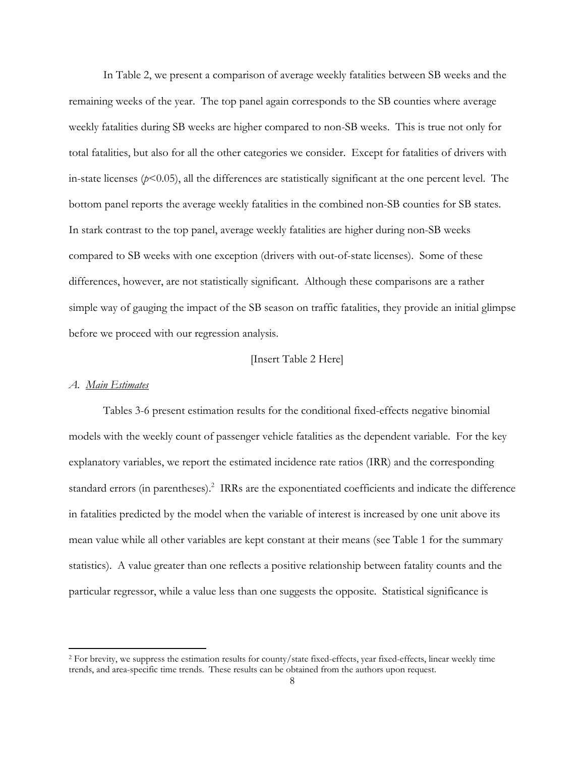In Table 2, we present a comparison of average weekly fatalities between SB weeks and the remaining weeks of the year. The top panel again corresponds to the SB counties where average weekly fatalities during SB weeks are higher compared to non-SB weeks. This is true not only for total fatalities, but also for all the other categories we consider. Except for fatalities of drivers with in-state licenses  $(p<0.05)$ , all the differences are statistically significant at the one percent level. The bottom panel reports the average weekly fatalities in the combined non-SB counties for SB states. In stark contrast to the top panel, average weekly fatalities are higher during non-SB weeks compared to SB weeks with one exception (drivers with out-of-state licenses). Some of these differences, however, are not statistically significant. Although these comparisons are a rather simple way of gauging the impact of the SB season on traffic fatalities, they provide an initial glimpse before we proceed with our regression analysis.

#### [Insert Table 2 Here]

#### *A. Main Estimates*

Tables 3-6 present estimation results for the conditional fixed-effects negative binomial models with the weekly count of passenger vehicle fatalities as the dependent variable. For the key explanatory variables, we report the estimated incidence rate ratios (IRR) and the corresponding standard errors (in parentheses).<sup>2</sup> IRRs are the exponentiated coefficients and indicate the difference in fatalities predicted by the model when the variable of interest is increased by one unit above its mean value while all other variables are kept constant at their means (see Table 1 for the summary statistics). A value greater than one reflects a positive relationship between fatality counts and the particular regressor, while a value less than one suggests the opposite. Statistical significance is

<sup>2</sup> For brevity, we suppress the estimation results for county/state fixed-effects, year fixed-effects, linear weekly time trends, and area-specific time trends. These results can be obtained from the authors upon request.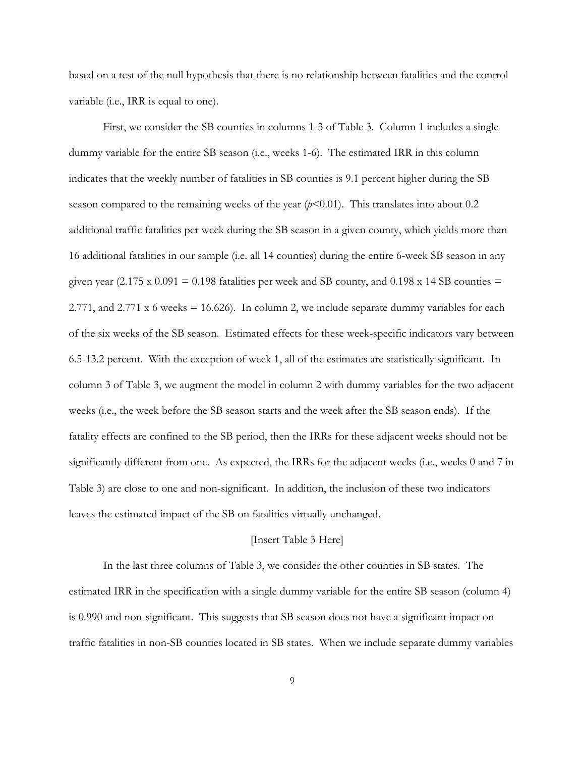based on a test of the null hypothesis that there is no relationship between fatalities and the control variable (i.e., IRR is equal to one).

First, we consider the SB counties in columns 1-3 of Table 3. Column 1 includes a single dummy variable for the entire SB season (i.e., weeks 1-6). The estimated IRR in this column indicates that the weekly number of fatalities in SB counties is 9.1 percent higher during the SB season compared to the remaining weeks of the year  $(p<0.01)$ . This translates into about 0.2 additional traffic fatalities per week during the SB season in a given county, which yields more than 16 additional fatalities in our sample (i.e. all 14 counties) during the entire 6-week SB season in any given year (2.175 x 0.091 = 0.198 fatalities per week and SB county, and 0.198 x 14 SB counties = 2.771, and 2.771 x 6 weeks = 16.626). In column 2, we include separate dummy variables for each of the six weeks of the SB season. Estimated effects for these week-specific indicators vary between 6.5-13.2 percent. With the exception of week 1, all of the estimates are statistically significant. In column 3 of Table 3, we augment the model in column 2 with dummy variables for the two adjacent weeks (i.e., the week before the SB season starts and the week after the SB season ends). If the fatality effects are confined to the SB period, then the IRRs for these adjacent weeks should not be significantly different from one. As expected, the IRRs for the adjacent weeks (i.e., weeks 0 and 7 in Table 3) are close to one and non-significant. In addition, the inclusion of these two indicators leaves the estimated impact of the SB on fatalities virtually unchanged.

#### [Insert Table 3 Here]

In the last three columns of Table 3, we consider the other counties in SB states. The estimated IRR in the specification with a single dummy variable for the entire SB season (column 4) is 0.990 and non-significant. This suggests that SB season does not have a significant impact on traffic fatalities in non-SB counties located in SB states. When we include separate dummy variables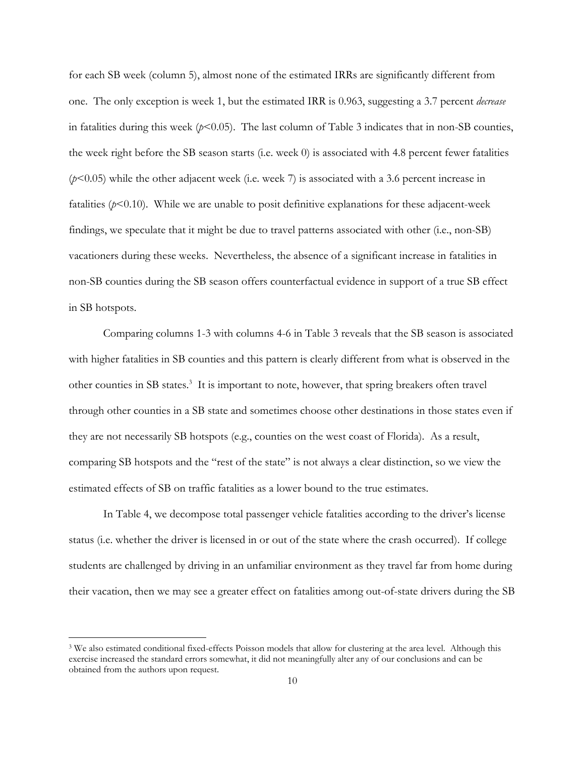for each SB week (column 5), almost none of the estimated IRRs are significantly different from one. The only exception is week 1, but the estimated IRR is 0.963, suggesting a 3.7 percent *decrease* in fatalities during this week  $(p<0.05)$ . The last column of Table 3 indicates that in non-SB counties, the week right before the SB season starts (i.e. week 0) is associated with 4.8 percent fewer fatalities (*p*<0.05) while the other adjacent week (i.e. week 7) is associated with a 3.6 percent increase in fatalities  $(p<0.10)$ . While we are unable to posit definitive explanations for these adjacent-week findings, we speculate that it might be due to travel patterns associated with other (i.e., non-SB) vacationers during these weeks. Nevertheless, the absence of a significant increase in fatalities in non-SB counties during the SB season offers counterfactual evidence in support of a true SB effect in SB hotspots.

Comparing columns 1-3 with columns 4-6 in Table 3 reveals that the SB season is associated with higher fatalities in SB counties and this pattern is clearly different from what is observed in the other counties in SB states.<sup>3</sup> It is important to note, however, that spring breakers often travel through other counties in a SB state and sometimes choose other destinations in those states even if they are not necessarily SB hotspots (e.g., counties on the west coast of Florida). As a result, comparing SB hotspots and the "rest of the state" is not always a clear distinction, so we view the estimated effects of SB on traffic fatalities as a lower bound to the true estimates.

In Table 4, we decompose total passenger vehicle fatalities according to the driver's license status (i.e. whether the driver is licensed in or out of the state where the crash occurred). If college students are challenged by driving in an unfamiliar environment as they travel far from home during their vacation, then we may see a greater effect on fatalities among out-of-state drivers during the SB

<sup>3</sup> We also estimated conditional fixed-effects Poisson models that allow for clustering at the area level. Although this exercise increased the standard errors somewhat, it did not meaningfully alter any of our conclusions and can be obtained from the authors upon request.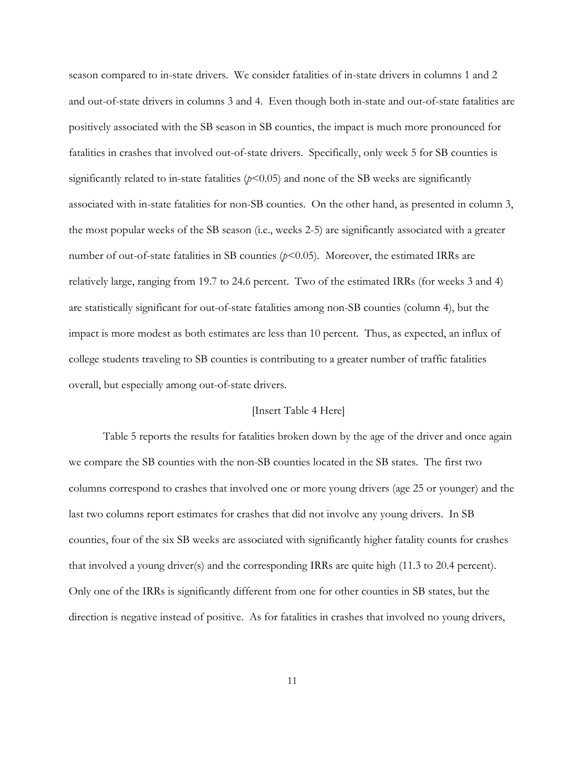season compared to in-state drivers. We consider fatalities of in-state drivers in columns 1 and 2 and out-of-state drivers in columns 3 and 4. Even though both in-state and out-of-state fatalities are positively associated with the SB season in SB counties, the impact is much more pronounced for fatalities in crashes that involved out-of-state drivers. Specifically, only week 5 for SB counties is significantly related to in-state fatalities  $(p<0.05)$  and none of the SB weeks are significantly associated with in-state fatalities for non-SB counties. On the other hand, as presented in column 3, the most popular weeks of the SB season (i.e., weeks 2-5) are significantly associated with a greater number of out-of-state fatalities in SB counties ( $p$ <0.05). Moreover, the estimated IRRs are relatively large, ranging from 19.7 to 24.6 percent. Two of the estimated IRRs (for weeks 3 and 4) are statistically significant for out-of-state fatalities among non-SB counties (column 4), but the impact is more modest as both estimates are less than 10 percent. Thus, as expected, an influx of college students traveling to SB counties is contributing to a greater number of traffic fatalities overall, but especially among out-of-state drivers.

#### [Insert Table 4 Here]

Table 5 reports the results for fatalities broken down by the age of the driver and once again we compare the SB counties with the non-SB counties located in the SB states. The first two columns correspond to crashes that involved one or more young drivers (age 25 or younger) and the last two columns report estimates for crashes that did not involve any young drivers. In SB counties, four of the six SB weeks are associated with significantly higher fatality counts for crashes that involved a young driver(s) and the corresponding IRRs are quite high (11.3 to 20.4 percent). Only one of the IRRs is significantly different from one for other counties in SB states, but the direction is negative instead of positive. As for fatalities in crashes that involved no young drivers,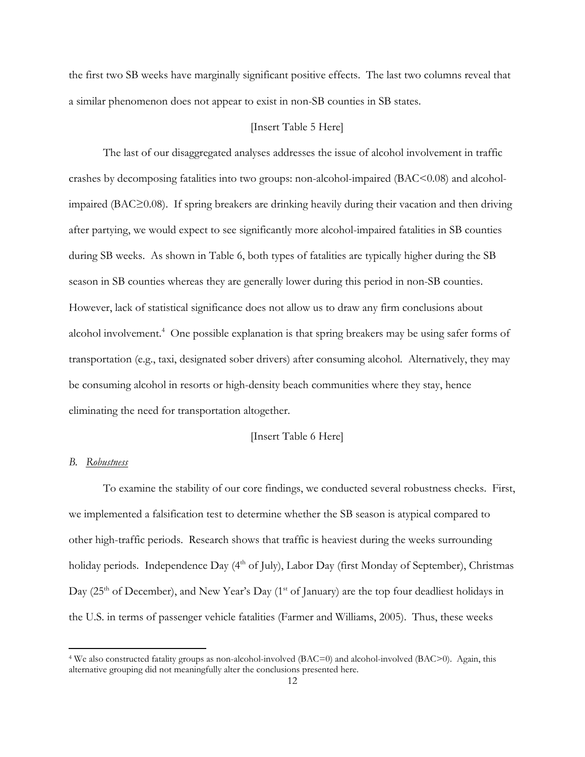the first two SB weeks have marginally significant positive effects. The last two columns reveal that a similar phenomenon does not appear to exist in non-SB counties in SB states.

#### [Insert Table 5 Here]

The last of our disaggregated analyses addresses the issue of alcohol involvement in traffic crashes by decomposing fatalities into two groups: non-alcohol-impaired (BAC<0.08) and alcoholimpaired (BAC≥0.08). If spring breakers are drinking heavily during their vacation and then driving after partying, we would expect to see significantly more alcohol-impaired fatalities in SB counties during SB weeks. As shown in Table 6, both types of fatalities are typically higher during the SB season in SB counties whereas they are generally lower during this period in non-SB counties. However, lack of statistical significance does not allow us to draw any firm conclusions about alcohol involvement.<sup>4</sup> One possible explanation is that spring breakers may be using safer forms of transportation (e.g., taxi, designated sober drivers) after consuming alcohol. Alternatively, they may be consuming alcohol in resorts or high-density beach communities where they stay, hence eliminating the need for transportation altogether.

#### [Insert Table 6 Here]

#### *B. Robustness*

To examine the stability of our core findings, we conducted several robustness checks. First, we implemented a falsification test to determine whether the SB season is atypical compared to other high-traffic periods. Research shows that traffic is heaviest during the weeks surrounding holiday periods. Independence Day (4<sup>th</sup> of July), Labor Day (first Monday of September), Christmas Day (25<sup>th</sup> of December), and New Year's Day (1<sup>st</sup> of January) are the top four deadliest holidays in the U.S. in terms of passenger vehicle fatalities (Farmer and Williams, 2005). Thus, these weeks

<sup>4</sup> We also constructed fatality groups as non-alcohol-involved (BAC=0) and alcohol-involved (BAC>0). Again, this alternative grouping did not meaningfully alter the conclusions presented here.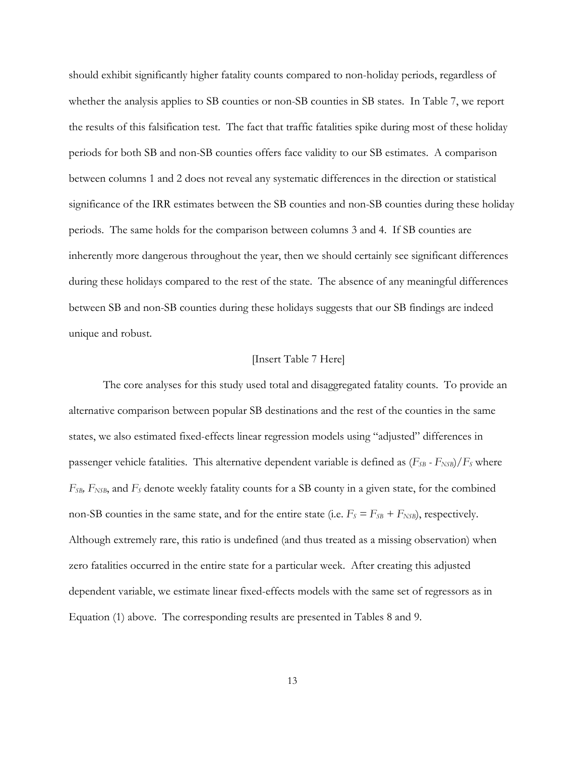should exhibit significantly higher fatality counts compared to non-holiday periods, regardless of whether the analysis applies to SB counties or non-SB counties in SB states. In Table 7, we report the results of this falsification test. The fact that traffic fatalities spike during most of these holiday periods for both SB and non-SB counties offers face validity to our SB estimates. A comparison between columns 1 and 2 does not reveal any systematic differences in the direction or statistical significance of the IRR estimates between the SB counties and non-SB counties during these holiday periods. The same holds for the comparison between columns 3 and 4. If SB counties are inherently more dangerous throughout the year, then we should certainly see significant differences during these holidays compared to the rest of the state. The absence of any meaningful differences between SB and non-SB counties during these holidays suggests that our SB findings are indeed unique and robust.

#### [Insert Table 7 Here]

The core analyses for this study used total and disaggregated fatality counts. To provide an alternative comparison between popular SB destinations and the rest of the counties in the same states, we also estimated fixed-effects linear regression models using "adjusted" differences in passenger vehicle fatalities. This alternative dependent variable is defined as  $(F_{SB} - F_{NSB})/F_S$  where *FSB, FNSB*, and *FS* denote weekly fatality counts for a SB county in a given state, for the combined non-SB counties in the same state, and for the entire state (i.e.  $F_s = F_{SB} + F_{NSB}$ ), respectively. Although extremely rare, this ratio is undefined (and thus treated as a missing observation) when zero fatalities occurred in the entire state for a particular week. After creating this adjusted dependent variable, we estimate linear fixed-effects models with the same set of regressors as in Equation (1) above. The corresponding results are presented in Tables 8 and 9.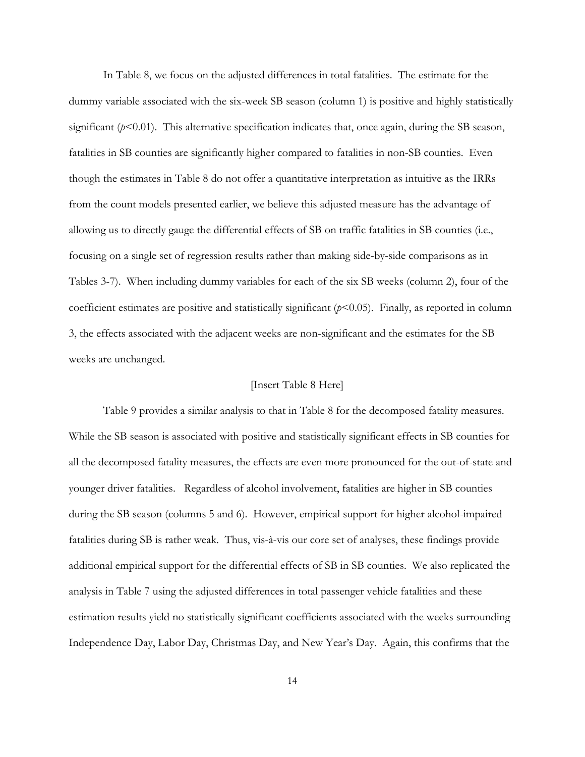In Table 8, we focus on the adjusted differences in total fatalities. The estimate for the dummy variable associated with the six-week SB season (column 1) is positive and highly statistically significant  $(p<0.01)$ . This alternative specification indicates that, once again, during the SB season, fatalities in SB counties are significantly higher compared to fatalities in non-SB counties. Even though the estimates in Table 8 do not offer a quantitative interpretation as intuitive as the IRRs from the count models presented earlier, we believe this adjusted measure has the advantage of allowing us to directly gauge the differential effects of SB on traffic fatalities in SB counties (i.e., focusing on a single set of regression results rather than making side-by-side comparisons as in Tables 3-7). When including dummy variables for each of the six SB weeks (column 2), four of the coefficient estimates are positive and statistically significant  $(p<0.05)$ . Finally, as reported in column 3, the effects associated with the adjacent weeks are non-significant and the estimates for the SB weeks are unchanged.

#### [Insert Table 8 Here]

Table 9 provides a similar analysis to that in Table 8 for the decomposed fatality measures. While the SB season is associated with positive and statistically significant effects in SB counties for all the decomposed fatality measures, the effects are even more pronounced for the out-of-state and younger driver fatalities. Regardless of alcohol involvement, fatalities are higher in SB counties during the SB season (columns 5 and 6). However, empirical support for higher alcohol-impaired fatalities during SB is rather weak. Thus, vis-à-vis our core set of analyses, these findings provide additional empirical support for the differential effects of SB in SB counties. We also replicated the analysis in Table 7 using the adjusted differences in total passenger vehicle fatalities and these estimation results yield no statistically significant coefficients associated with the weeks surrounding Independence Day, Labor Day, Christmas Day, and New Year's Day. Again, this confirms that the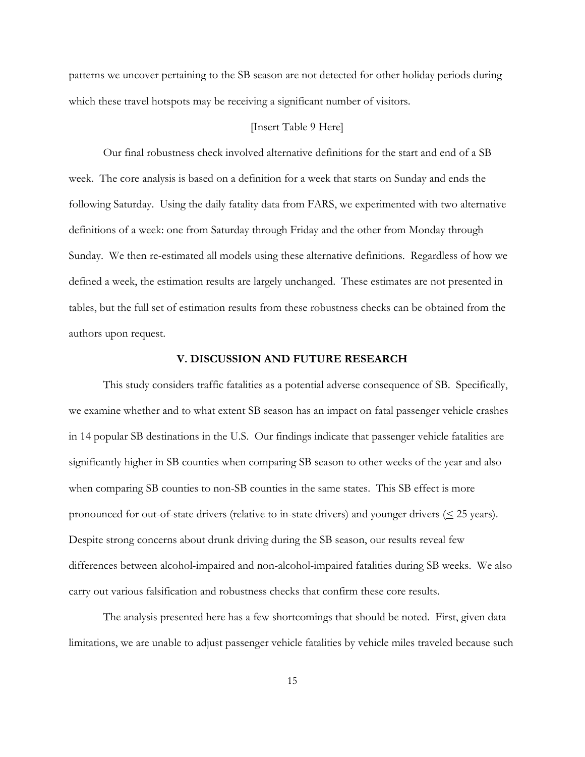patterns we uncover pertaining to the SB season are not detected for other holiday periods during which these travel hotspots may be receiving a significant number of visitors.

#### [Insert Table 9 Here]

Our final robustness check involved alternative definitions for the start and end of a SB week. The core analysis is based on a definition for a week that starts on Sunday and ends the following Saturday. Using the daily fatality data from FARS, we experimented with two alternative definitions of a week: one from Saturday through Friday and the other from Monday through Sunday. We then re-estimated all models using these alternative definitions. Regardless of how we defined a week, the estimation results are largely unchanged. These estimates are not presented in tables, but the full set of estimation results from these robustness checks can be obtained from the authors upon request.

#### **V. DISCUSSION AND FUTURE RESEARCH**

This study considers traffic fatalities as a potential adverse consequence of SB. Specifically, we examine whether and to what extent SB season has an impact on fatal passenger vehicle crashes in 14 popular SB destinations in the U.S.Our findings indicate that passenger vehicle fatalities are significantly higher in SB counties when comparing SB season to other weeks of the year and also when comparing SB counties to non-SB counties in the same states. This SB effect is more pronounced for out-of-state drivers (relative to in-state drivers) and younger drivers  $(\leq 25 \text{ years})$ . Despite strong concerns about drunk driving during the SB season, our results reveal few differences between alcohol-impaired and non-alcohol-impaired fatalities during SB weeks. We also carry out various falsification and robustness checks that confirm these core results.

 The analysis presented here has a few shortcomings that should be noted. First, given data limitations, we are unable to adjust passenger vehicle fatalities by vehicle miles traveled because such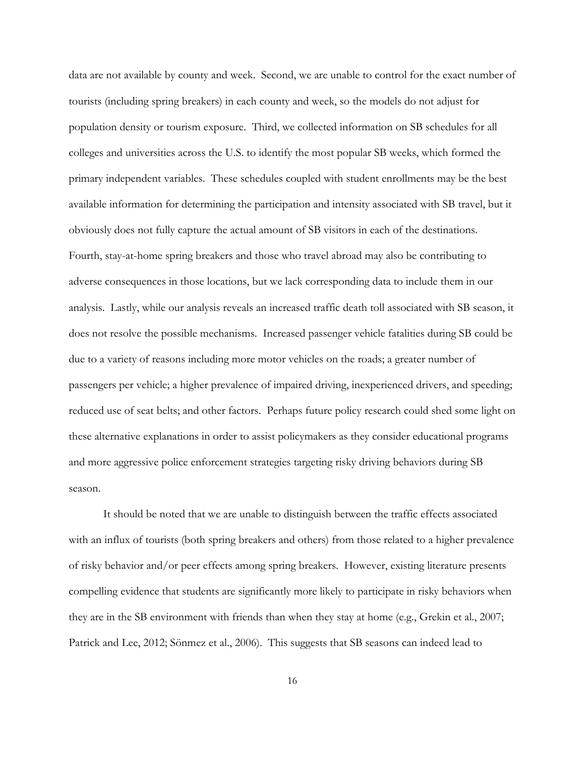data are not available by county and week. Second, we are unable to control for the exact number of tourists (including spring breakers) in each county and week, so the models do not adjust for population density or tourism exposure. Third, we collected information on SB schedules for all colleges and universities across the U.S. to identify the most popular SB weeks, which formed the primary independent variables. These schedules coupled with student enrollments may be the best available information for determining the participation and intensity associated with SB travel, but it obviously does not fully capture the actual amount of SB visitors in each of the destinations. Fourth, stay-at-home spring breakers and those who travel abroad may also be contributing to adverse consequences in those locations, but we lack corresponding data to include them in our analysis. Lastly, while our analysis reveals an increased traffic death toll associated with SB season, it does not resolve the possible mechanisms. Increased passenger vehicle fatalities during SB could be due to a variety of reasons including more motor vehicles on the roads; a greater number of passengers per vehicle; a higher prevalence of impaired driving, inexperienced drivers, and speeding; reduced use of seat belts; and other factors. Perhaps future policy research could shed some light on these alternative explanations in order to assist policymakers as they consider educational programs and more aggressive police enforcement strategies targeting risky driving behaviors during SB season.

It should be noted that we are unable to distinguish between the traffic effects associated with an influx of tourists (both spring breakers and others) from those related to a higher prevalence of risky behavior and/or peer effects among spring breakers. However, existing literature presents compelling evidence that students are significantly more likely to participate in risky behaviors when they are in the SB environment with friends than when they stay at home (e.g., Grekin et al., 2007; Patrick and Lee, 2012; Sönmez et al., 2006). This suggests that SB seasons can indeed lead to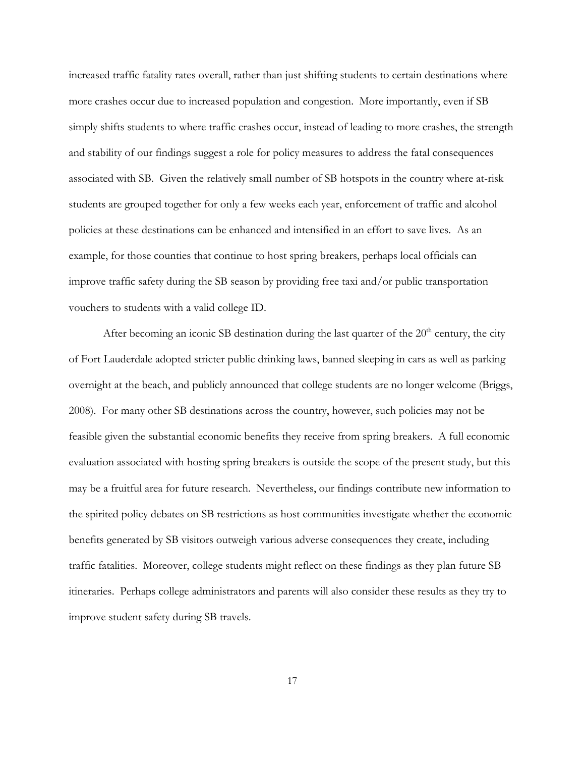increased traffic fatality rates overall, rather than just shifting students to certain destinations where more crashes occur due to increased population and congestion. More importantly, even if SB simply shifts students to where traffic crashes occur, instead of leading to more crashes, the strength and stability of our findings suggest a role for policy measures to address the fatal consequences associated with SB. Given the relatively small number of SB hotspots in the country where at-risk students are grouped together for only a few weeks each year, enforcement of traffic and alcohol policies at these destinations can be enhanced and intensified in an effort to save lives. As an example, for those counties that continue to host spring breakers, perhaps local officials can improve traffic safety during the SB season by providing free taxi and/or public transportation vouchers to students with a valid college ID.

After becoming an iconic SB destination during the last quarter of the  $20<sup>th</sup>$  century, the city of Fort Lauderdale adopted stricter public drinking laws, banned sleeping in cars as well as parking overnight at the beach, and publicly announced that college students are no longer welcome (Briggs, 2008). For many other SB destinations across the country, however, such policies may not be feasible given the substantial economic benefits they receive from spring breakers. A full economic evaluation associated with hosting spring breakers is outside the scope of the present study, but this may be a fruitful area for future research. Nevertheless, our findings contribute new information to the spirited policy debates on SB restrictions as host communities investigate whether the economic benefits generated by SB visitors outweigh various adverse consequences they create, including traffic fatalities. Moreover, college students might reflect on these findings as they plan future SB itineraries. Perhaps college administrators and parents will also consider these results as they try to improve student safety during SB travels.

17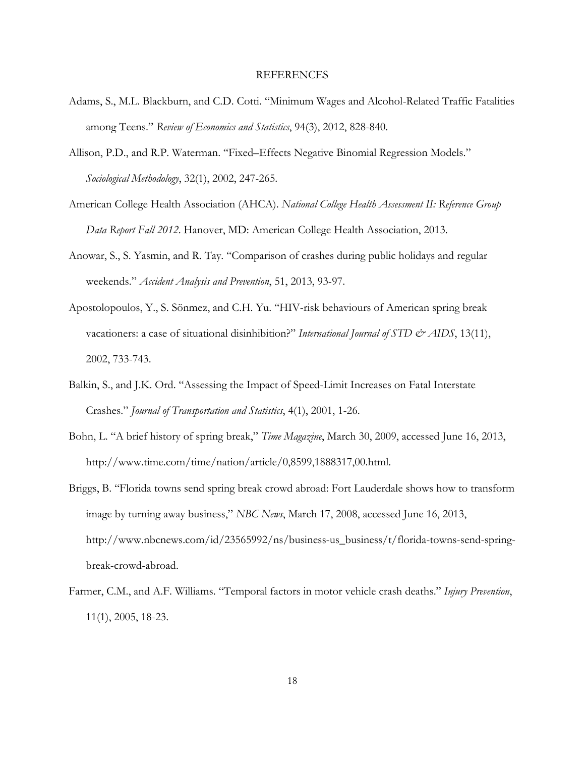#### **REFERENCES**

- Adams, S., M.L. Blackburn, and C.D. Cotti. "Minimum Wages and Alcohol-Related Traffic Fatalities among Teens." *Review of Economics and Statistics*, 94(3), 2012, 828-840.
- Allison, P.D., and R.P. Waterman. "Fixed–Effects Negative Binomial Regression Models." *Sociological Methodology*, 32(1), 2002, 247-265.
- American College Health Association (AHCA). *National College Health Assessment II: Reference Group Data Report Fall 2012*. Hanover, MD: American College Health Association, 2013.
- Anowar, S., S. Yasmin, and R. Tay. "Comparison of crashes during public holidays and regular weekends." *Accident Analysis and Prevention*, 51, 2013, 93-97.
- Apostolopoulos, Y., S. Sönmez, and C.H. Yu. "HIV-risk behaviours of American spring break vacationers: a case of situational disinhibition?" *International Journal of STD & AIDS*, 13(11), 2002, 733-743.
- Balkin, S., and J.K. Ord. "Assessing the Impact of Speed-Limit Increases on Fatal Interstate Crashes." *Journal of Transportation and Statistics*, 4(1), 2001, 1-26.
- Bohn, L. "A brief history of spring break," *Time Magazine*, March 30, 2009, accessed June 16, 2013, http://www.time.com/time/nation/article/0,8599,1888317,00.html.
- Briggs, B. "Florida towns send spring break crowd abroad: Fort Lauderdale shows how to transform image by turning away business," *NBC News*, March 17, 2008, accessed June 16, 2013, http://www.nbcnews.com/id/23565992/ns/business-us\_business/t/florida-towns-send-springbreak-crowd-abroad.
- Farmer, C.M., and A.F. Williams. "Temporal factors in motor vehicle crash deaths." *Injury Prevention*, 11(1), 2005, 18-23.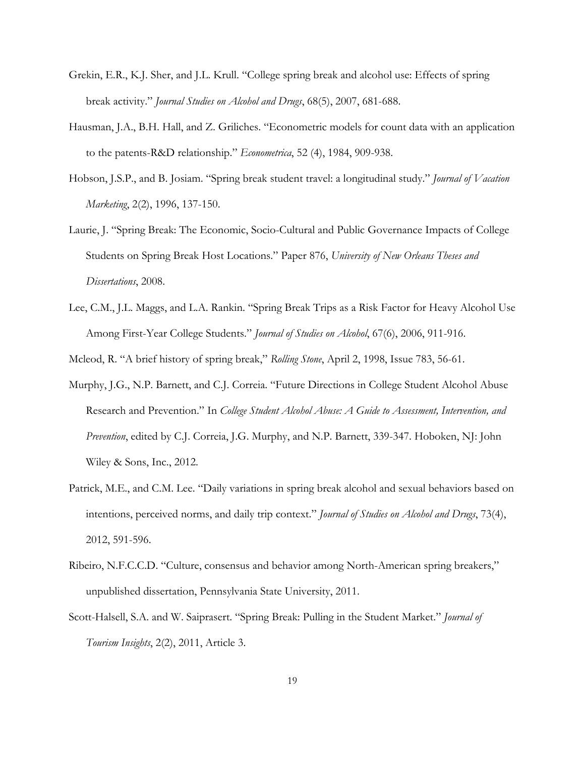- Grekin, E.R., K.J. Sher, and J.L. Krull. "College spring break and alcohol use: Effects of spring break activity." *Journal Studies on Alcohol and Drugs*, 68(5), 2007, 681-688.
- Hausman, J.A., B.H. Hall, and Z. Griliches. "Econometric models for count data with an application to the patents-R&D relationship." *Econometrica*, 52 (4), 1984, 909-938.
- Hobson, J.S.P., and B. Josiam. "Spring break student travel: a longitudinal study." *Journal of Vacation Marketing*, 2(2), 1996, 137-150.
- Laurie, J. "Spring Break: The Economic, Socio-Cultural and Public Governance Impacts of College Students on Spring Break Host Locations." Paper 876, *University of New Orleans Theses and Dissertations*, 2008.
- Lee, C.M., J.L. Maggs, and L.A. Rankin. "Spring Break Trips as a Risk Factor for Heavy Alcohol Use Among First-Year College Students." *Journal of Studies on Alcohol*, 67(6), 2006, 911-916.
- Mcleod, R. "A brief history of spring break," *Rolling Stone*, April 2, 1998, Issue 783, 56-61.
- Murphy, J.G., N.P. Barnett, and C.J. Correia. "Future Directions in College Student Alcohol Abuse Research and Prevention." In *College Student Alcohol Abuse: A Guide to Assessment, Intervention, and Prevention*, edited by C.J. Correia, J.G. Murphy, and N.P. Barnett, 339-347. Hoboken, NJ: John Wiley & Sons, Inc., 2012.
- Patrick, M.E., and C.M. Lee. "Daily variations in spring break alcohol and sexual behaviors based on intentions, perceived norms, and daily trip context." *Journal of Studies on Alcohol and Drugs*, 73(4), 2012, 591-596.
- Ribeiro, N.F.C.C.D. "Culture, consensus and behavior among North-American spring breakers," unpublished dissertation, Pennsylvania State University, 2011.
- Scott-Halsell, S.A. and W. Saiprasert. "Spring Break: Pulling in the Student Market." *Journal of Tourism Insights*, 2(2), 2011, Article 3.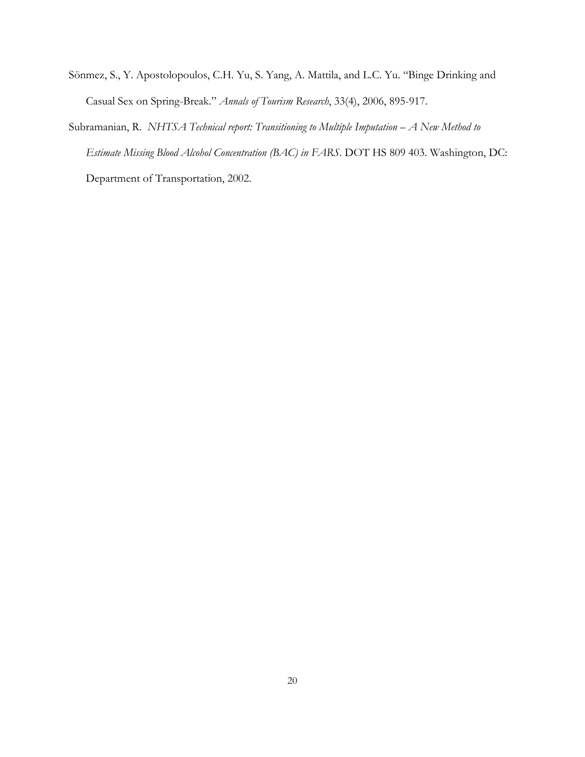- Sönmez, S., Y. Apostolopoulos, C.H. Yu, S. Yang, A. Mattila, and L.C. Yu. "Binge Drinking and Casual Sex on Spring-Break." *Annals of Tourism Research*, 33(4), 2006, 895-917.
- Subramanian, R. *NHTSA Technical report: Transitioning to Multiple Imputation A New Method to Estimate Missing Blood Alcohol Concentration (BAC) in FARS*. DOT HS 809 403. Washington, DC: Department of Transportation, 2002.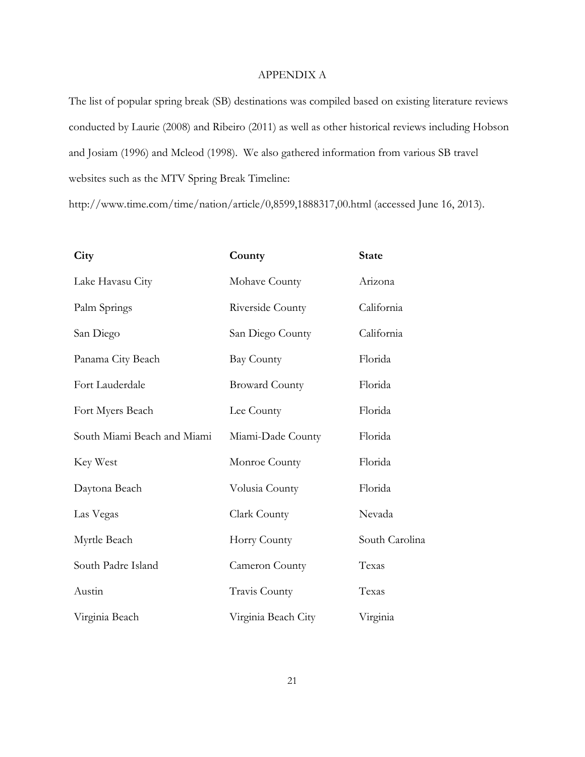#### APPENDIX A

The list of popular spring break (SB) destinations was compiled based on existing literature reviews conducted by Laurie (2008) and Ribeiro (2011) as well as other historical reviews including Hobson and Josiam (1996) and Mcleod (1998). We also gathered information from various SB travel websites such as the MTV Spring Break Timeline:

http://www.time.com/time/nation/article/0,8599,1888317,00.html (accessed June 16, 2013).

| City                        | County                | <b>State</b>   |
|-----------------------------|-----------------------|----------------|
| Lake Havasu City            | Mohave County         | Arizona        |
| Palm Springs                | Riverside County      | California     |
| San Diego                   | San Diego County      | California     |
| Panama City Beach           | <b>Bay County</b>     | Florida        |
| Fort Lauderdale             | <b>Broward County</b> | Florida        |
| Fort Myers Beach            | Lee County            | Florida        |
| South Miami Beach and Miami | Miami-Dade County     | Florida        |
| Key West                    | Monroe County         | Florida        |
| Daytona Beach               | Volusia County        | Florida        |
| Las Vegas                   | Clark County          | Nevada         |
| Myrtle Beach                | Horry County          | South Carolina |
| South Padre Island          | Cameron County        | Texas          |
| Austin                      | Travis County         | Texas          |
| Virginia Beach              | Virginia Beach City   | Virginia       |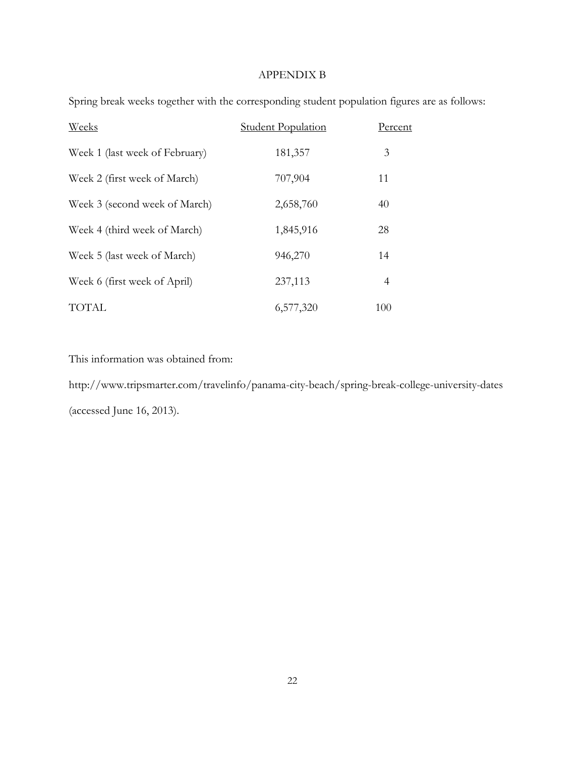#### APPENDIX B

| Weeks                          | <b>Student Population</b> | Percent |
|--------------------------------|---------------------------|---------|
| Week 1 (last week of February) | 181,357                   | 3       |
| Week 2 (first week of March)   | 707,904                   | 11      |
| Week 3 (second week of March)  | 2,658,760                 | 40      |
| Week 4 (third week of March)   | 1,845,916                 | 28      |
| Week 5 (last week of March)    | 946,270                   | 14      |
| Week 6 (first week of April)   | 237,113                   | 4       |
| <b>TOTAL</b>                   | 6,577,320                 | 100     |

Spring break weeks together with the corresponding student population figures are as follows:

This information was obtained from:

http://www.tripsmarter.com/travelinfo/panama-city-beach/spring-break-college-university-dates (accessed June 16, 2013).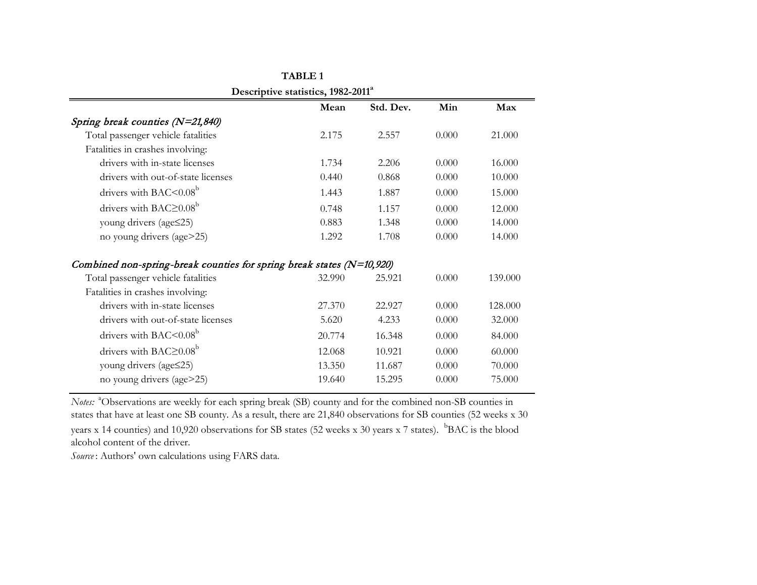|                                                                           | Descriptive statistics, 1982-2011<br>Mean | Std. Dev. | Min   | Max     |
|---------------------------------------------------------------------------|-------------------------------------------|-----------|-------|---------|
| Spring break counties (N=21,840)                                          |                                           |           |       |         |
| Total passenger vehicle fatalities                                        | 2.175                                     | 2.557     | 0.000 | 21.000  |
| Fatalities in crashes involving:                                          |                                           |           |       |         |
| drivers with in-state licenses                                            | 1.734                                     | 2.206     | 0.000 | 16.000  |
| drivers with out-of-state licenses                                        | 0.440                                     | 0.868     | 0.000 | 10.000  |
| drivers with BAC $\leq 0.08^b$                                            | 1.443                                     | 1.887     | 0.000 | 15.000  |
| drivers with BAC $\geq$ 0.08 <sup>b</sup>                                 | 0.748                                     | 1.157     | 0.000 | 12.000  |
| young drivers (age   set25)                                               | 0.883                                     | 1.348     | 0.000 | 14.000  |
| no young drivers (age>25)                                                 | 1.292                                     | 1.708     | 0.000 | 14.000  |
| Combined non-spring-break counties for spring break states ( $N=10,920$ ) |                                           |           |       |         |
| Total passenger vehicle fatalities                                        | 32.990                                    | 25.921    | 0.000 | 139,000 |
| Fatalities in crashes involving:                                          |                                           |           |       |         |
| drivers with in-state licenses                                            | 27.370                                    | 22.927    | 0.000 | 128.000 |
| drivers with out-of-state licenses                                        | 5.620                                     | 4.233     | 0.000 | 32.000  |
| drivers with BAC $\leq 0.08^b$                                            | 20.774                                    | 16.348    | 0.000 | 84.000  |
| drivers with BAC $\geq$ 0.08 <sup>b</sup>                                 | 12.068                                    | 10.921    | 0.000 | 60.000  |
| young drivers (age \\$25)                                                 | 13.350                                    | 11.687    | 0.000 | 70.000  |
| no young drivers (age>25)                                                 | 19.640                                    | 15.295    | 0.000 | 75.000  |

**Descriptive statistics, 1982-2011a TABLE 1**

*Notes*: <sup>a</sup>Observations are weekly for each spring break (SB) county and for the combined non-SB counties in states that have at least one SB county. As a result, there are 21,840 observations for SB counties (52 weeks x 30 years x 14 counties) and 10,920 observations for SB states (52 weeks x 30 years x 7 states). <sup>b</sup>BAC is the blood alcohol content of the driver.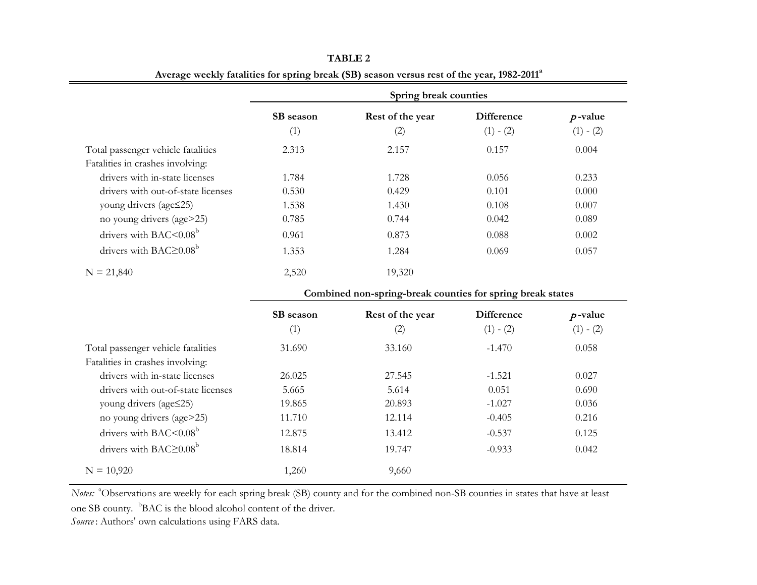|                                           | Spring break counties |                                                            |                   |             |  |
|-------------------------------------------|-----------------------|------------------------------------------------------------|-------------------|-------------|--|
|                                           | SB season             | Rest of the year                                           | <b>Difference</b> | $p$ -value  |  |
|                                           | (1)                   | (2)                                                        | $(1) - (2)$       | $(1) - (2)$ |  |
| Total passenger vehicle fatalities        | 2.313                 | 2.157                                                      | 0.157             | 0.004       |  |
| Fatalities in crashes involving:          |                       |                                                            |                   |             |  |
| drivers with in-state licenses            | 1.784                 | 1.728                                                      | 0.056             | 0.233       |  |
| drivers with out-of-state licenses        | 0.530                 | 0.429                                                      | 0.101             | 0.000       |  |
| young drivers (age   set25)               | 1.538                 | 1.430                                                      | 0.108             | 0.007       |  |
| no young drivers (age>25)                 | 0.785                 | 0.744                                                      | 0.042             | 0.089       |  |
| drivers with BAC<0.08 <sup>b</sup>        | 0.961                 | 0.873                                                      | 0.088             | 0.002       |  |
| drivers with BAC $\geq$ 0.08 <sup>b</sup> | 1.353                 | 1.284                                                      | 0.069             | 0.057       |  |
| $N = 21,840$                              | 2,520                 | 19,320                                                     |                   |             |  |
|                                           |                       | Combined non-spring-break counties for spring break states |                   |             |  |
|                                           | SB season             | Rest of the year                                           | <b>Difference</b> | $p$ -value  |  |
|                                           | (1)                   | (2)                                                        | $(1) - (2)$       | $(1) - (2)$ |  |
| Total passenger vehicle fatalities        | 31.690                | 33.160                                                     | $-1.470$          | 0.058       |  |
| Fatalities in crashes involving:          |                       |                                                            |                   |             |  |
| drivers with in-state licenses            | 26.025                | 27.545                                                     | $-1.521$          | 0.027       |  |
| drivers with out-of-state licenses        | 5.665                 | 5.614                                                      | 0.051             | 0.690       |  |
| young drivers (age  set25)                | 19.865                | 20.893                                                     | $-1.027$          | 0.036       |  |
| no young drivers (age>25)                 | 11.710                | 12.114                                                     | $-0.405$          | 0.216       |  |
| drivers with BAC<0.08 <sup>b</sup>        | 12.875                | 13.412                                                     | $-0.537$          | 0.125       |  |
| drivers with BAC $\geq$ 0.08 <sup>b</sup> | 18.814                | 19.747                                                     | $-0.933$          | 0.042       |  |
| $N = 10,920$                              | 1,260                 | 9,660                                                      |                   |             |  |

**TABLE 2 Average weekly fatalities for spring break (SB) season versus rest of the year, 1982-2011<sup>a</sup>**

*Notes*: <sup>a</sup>Observations are weekly for each spring break (SB) county and for the combined non-SB counties in states that have at least

one SB county. <sup>b</sup>BAC is the blood alcohol content of the driver.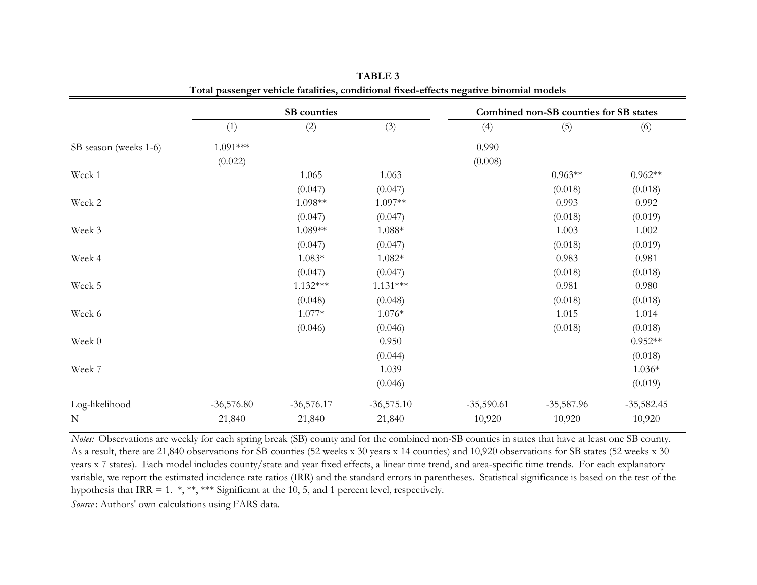| SB counties  |              |              | Combined non-SB counties for SB states |              |              |
|--------------|--------------|--------------|----------------------------------------|--------------|--------------|
| (1)          | (2)          | (3)          | (4)                                    | (5)          | (6)          |
| $1.091***$   |              |              | 0.990                                  |              |              |
| (0.022)      |              |              | (0.008)                                |              |              |
|              | 1.065        | 1.063        |                                        | $0.963**$    | $0.962**$    |
|              | (0.047)      | (0.047)      |                                        | (0.018)      | (0.018)      |
|              | 1.098**      | 1.097**      |                                        | 0.993        | 0.992        |
|              | (0.047)      | (0.047)      |                                        | (0.018)      | (0.019)      |
|              | 1.089**      | $1.088*$     |                                        | 1.003        | 1.002        |
|              | (0.047)      | (0.047)      |                                        | (0.018)      | (0.019)      |
|              | $1.083*$     | $1.082*$     |                                        | 0.983        | 0.981        |
|              | (0.047)      | (0.047)      |                                        | (0.018)      | (0.018)      |
|              | $1.132***$   | $1.131***$   |                                        | 0.981        | 0.980        |
|              | (0.048)      | (0.048)      |                                        | (0.018)      | (0.018)      |
|              | $1.077*$     | $1.076*$     |                                        | 1.015        | 1.014        |
|              | (0.046)      | (0.046)      |                                        | (0.018)      | (0.018)      |
|              |              | 0.950        |                                        |              | $0.952**$    |
|              |              | (0.044)      |                                        |              | (0.018)      |
|              |              | 1.039        |                                        |              | $1.036*$     |
|              |              | (0.046)      |                                        |              | (0.019)      |
| $-36,576.80$ | $-36,576.17$ | $-36,575.10$ | $-35,590.61$                           | $-35,587.96$ | $-35,582.45$ |
| 21,840       | 21,840       | 21,840       | 10,920                                 | 10,920       | 10,920       |
|              |              |              |                                        |              |              |

**TABLE 3 Total passenger vehicle fatalities, conditional fixed-effects negative binomial models**

*Notes:* Observations are weekly for each spring break (SB) county and for the combined non-SB counties in states that have at least one SB county. As a result, there are 21,840 observations for SB counties (52 weeks x 30 years x 14 counties) and 10,920 observations for SB states (52 weeks x 30 years x 7 states). Each model includes county/state and year fixed effects, a linear time trend, and area-specific time trends. For each explanatory variable, we report the estimated incidence rate ratios (IRR) and the standard errors in parentheses. Statistical significance is based on the test of the hypothesis that IRR = 1. \*, \*\*, \*\*\* Significant at the 10, 5, and 1 percent level, respectively.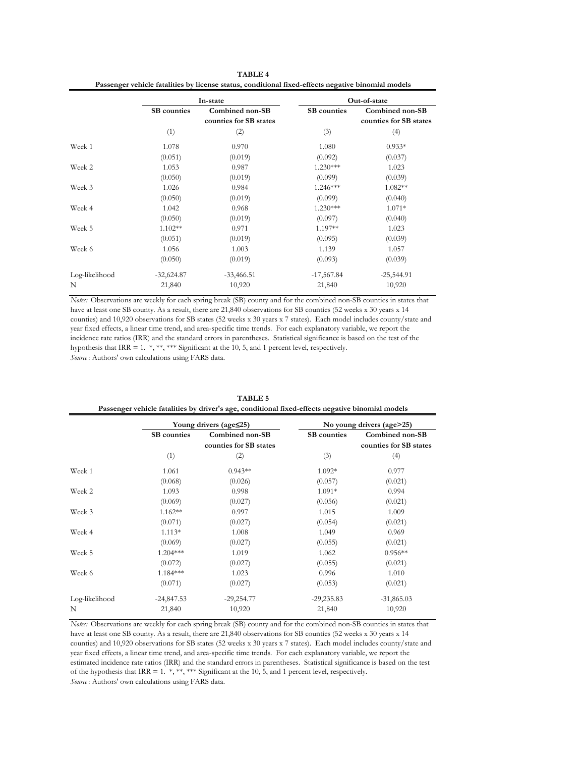| TABLE 4                                                                                            |
|----------------------------------------------------------------------------------------------------|
| Passenger vehicle fatalities by license status, conditional fixed-effects negative binomial models |

|                |              | In-state                                  |                    | Out-of-state                              |
|----------------|--------------|-------------------------------------------|--------------------|-------------------------------------------|
|                | SB counties  | Combined non-SB<br>counties for SB states | <b>SB</b> counties | Combined non-SB<br>counties for SB states |
|                | (1)          | (2)                                       | (3)                | (4)                                       |
| Week 1         | 1.078        | 0.970                                     | 1.080              | $0.933*$                                  |
|                | (0.051)      | (0.019)                                   | (0.092)            | (0.037)                                   |
| Week 2         | 1.053        | 0.987                                     | $1.230***$         | 1.023                                     |
|                | (0.050)      | (0.019)                                   | (0.099)            | (0.039)                                   |
| Week 3         | 1.026        | 0.984                                     | $1.246***$         | 1.082**                                   |
|                | (0.050)      | (0.019)                                   | (0.099)            | (0.040)                                   |
| Week 4         | 1.042        | 0.968                                     | $1.230***$         | $1.071*$                                  |
|                | (0.050)      | (0.019)                                   | (0.097)            | (0.040)                                   |
| Week 5         | $1.102**$    | 0.971                                     | 1.197**            | 1.023                                     |
|                | (0.051)      | (0.019)                                   | (0.095)            | (0.039)                                   |
| Week 6         | 1.056        | 1.003                                     | 1.139              | 1.057                                     |
|                | (0.050)      | (0.019)                                   | (0.093)            | (0.039)                                   |
| Log-likelihood | $-32,624.87$ | $-33,466.51$                              | $-17,567.84$       | $-25,544.91$                              |
| $\mathbf N$    | 21,840       | 10,920                                    | 21,840             | 10,920                                    |

*Source* : Authors' own calculations using FARS data. *Notes:* Observations are weekly for each spring break (SB) county and for the combined non-SB counties in states that have at least one SB county. As a result, there are 21,840 observations for SB counties (52 weeks x 30 years x 14 counties) and 10,920 observations for SB states (52 weeks x 30 years x 7 states). Each model includes county/state and year fixed effects, a linear time trend, and area-specific time trends. For each explanatory variable, we report the incidence rate ratios (IRR) and the standard errors in parentheses. Statistical significance is based on the test of the hypothesis that IRR = 1. \*, \*\*, \*\*\* Significant at the 10, 5, and 1 percent level, respectively.

| Passenger vehicle fatalities by driver's age, conditional fixed-effects negative binomial models |                    |                                           |                    |                                           |  |  |
|--------------------------------------------------------------------------------------------------|--------------------|-------------------------------------------|--------------------|-------------------------------------------|--|--|
|                                                                                                  |                    | Young drivers (age $\leq$ 25)             |                    | No young drivers (age>25)                 |  |  |
|                                                                                                  | <b>SB</b> counties | Combined non-SB<br>counties for SB states | <b>SB</b> counties | Combined non-SB<br>counties for SB states |  |  |
|                                                                                                  | (1)                | (2)                                       | (3)                | (4)                                       |  |  |
| Week 1                                                                                           | 1.061              | $0.943**$                                 | $1.092*$           | 0.977                                     |  |  |
|                                                                                                  | (0.068)            | (0.026)                                   | (0.057)            | (0.021)                                   |  |  |
| Week 2                                                                                           | 1.093              | 0.998                                     | $1.091*$           | 0.994                                     |  |  |
|                                                                                                  | (0.069)            | (0.027)                                   | (0.056)            | (0.021)                                   |  |  |
| Week 3                                                                                           | $1.162**$          | 0.997                                     | 1.015              | 1.009                                     |  |  |
|                                                                                                  | (0.071)            | (0.027)                                   | (0.054)            | (0.021)                                   |  |  |
| Week 4                                                                                           | $1.113*$           | 1.008                                     | 1.049              | 0.969                                     |  |  |
|                                                                                                  | (0.069)            | (0.027)                                   | (0.055)            | (0.021)                                   |  |  |
| Week 5                                                                                           | $1.204***$         | 1.019                                     | 1.062              | $0.956**$                                 |  |  |
|                                                                                                  | (0.072)            | (0.027)                                   | (0.055)            | (0.021)                                   |  |  |
| Week 6                                                                                           | $1.184***$         | 1.023                                     | 0.996              | 1.010                                     |  |  |
|                                                                                                  | (0.071)            | (0.027)                                   | (0.053)            | (0.021)                                   |  |  |
| Log-likelihood                                                                                   | $-24,847.53$       | $-29,254.77$                              | $-29,235.83$       | $-31,865.03$                              |  |  |
| N                                                                                                | 21,840             | 10,920                                    | 21,840             | 10,920                                    |  |  |

**TABLE 5**

*Source* : Authors' own calculations using FARS data. *Notes:* Observations are weekly for each spring break (SB) county and for the combined non-SB counties in states that have at least one SB county. As a result, there are 21,840 observations for SB counties (52 weeks x 30 years x 14 counties) and 10,920 observations for SB states (52 weeks x 30 years x 7 states). Each model includes county/state and year fixed effects, a linear time trend, and area-specific time trends. For each explanatory variable, we report the estimated incidence rate ratios (IRR) and the standard errors in parentheses. Statistical significance is based on the test of the hypothesis that IRR = 1. \*, \*\*, \*\*\* Significant at the 10, 5, and 1 percent level, respectively.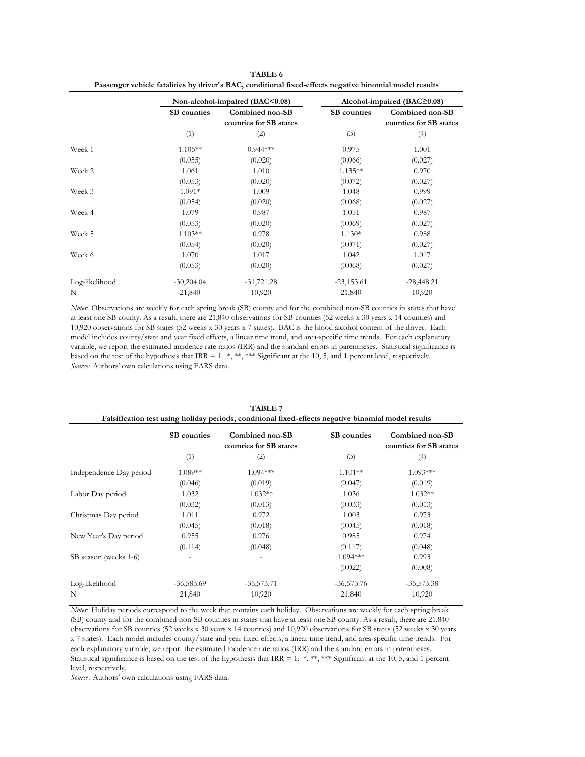**TABLE 6 Passenger vehicle fatalities by driver's BAC, conditional fixed-effects negative binomial model results**

|                |                    | Non-alcohol-impaired (BAC<0.08)           |                    | Alcohol-impaired $(BAC \geq 0.08)$        |
|----------------|--------------------|-------------------------------------------|--------------------|-------------------------------------------|
|                | <b>SB</b> counties | Combined non-SB<br>counties for SB states | <b>SB</b> counties | Combined non-SB<br>counties for SB states |
|                | (1)                | (2)                                       | (3)                | (4)                                       |
| Week 1         | $1.105**$          | $0.944***$                                | 0.975              | 1.001                                     |
|                | (0.055)            | (0.020)                                   | (0.066)            | (0.027)                                   |
| Week 2         | 1.061              | 1.010                                     | $1.135**$          | 0.970                                     |
|                | (0.053)            | (0.020)                                   | (0.072)            | (0.027)                                   |
| Week 3         | $1.091*$           | 1.009                                     | 1.048              | 0.999                                     |
|                | (0.054)            | (0.020)                                   | (0.068)            | (0.027)                                   |
| Week 4         | 1.079              | 0.987                                     | 1.051              | 0.987                                     |
|                | (0.053)            | (0.020)                                   | (0.069)            | (0.027)                                   |
| Week 5         | $1.103**$          | 0.978                                     | $1.130*$           | 0.988                                     |
|                | (0.054)            | (0.020)                                   | (0.071)            | (0.027)                                   |
| Week 6         | 1.070              | 1.017                                     | 1.042              | 1.017                                     |
|                | (0.053)            | (0.020)                                   | (0.068)            | (0.027)                                   |
| Log-likelihood | $-30,204.04$       | $-31,721.28$                              | $-23,153.61$       | $-28,448.21$                              |
| N              | 21,840             | 10,920                                    | 21,840             | 10,920                                    |

*Source* : Authors' own calculations using FARS data. *Notes:* Observations are weekly for each spring break (SB) county and for the combined non-SB counties in states that have at least one SB county. As a result, there are 21,840 observations for SB counties (52 weeks x 30 years x 14 counties) and 10,920 observations for SB states (52 weeks x 30 years x 7 states). BAC is the blood alcohol content of the driver. Each model includes county/state and year fixed effects, a linear time trend, and area-specific time trends. For each explanatory variable, we report the estimated incidence rate ratios (IRR) and the standard errors in parentheses. Statistical significance is based on the test of the hypothesis that IRR = 1. \*, \*\*, \*\*\* Significant at the 10, 5, and 1 percent level, respectively.

| Faisification test using holiday periods, conditional fixed-effects negative binomial model results |                    |                                           |                    |                                           |  |
|-----------------------------------------------------------------------------------------------------|--------------------|-------------------------------------------|--------------------|-------------------------------------------|--|
|                                                                                                     | <b>SB</b> counties | Combined non-SB<br>counties for SB states | <b>SB</b> counties | Combined non-SB<br>counties for SB states |  |
|                                                                                                     | (1)                | (2)                                       | (3)                | (4)                                       |  |
| Independence Day period                                                                             | $1.089**$          | $1.094***$                                | $1.101**$          | $1.093***$                                |  |
|                                                                                                     | (0.046)            | (0.019)                                   | (0.047)            | (0.019)                                   |  |
| Labor Day period                                                                                    | 1.032              | $1.032**$                                 | 1.036              | $1.032**$                                 |  |
|                                                                                                     | (0.032)            | (0.013)                                   | (0.033)            | (0.013)                                   |  |
| Christmas Day period                                                                                | 1.011              | 0.972                                     | 1.003              | 0.973                                     |  |
|                                                                                                     | (0.045)            | (0.018)                                   | (0.045)            | (0.018)                                   |  |
| New Year's Day period                                                                               | 0.955              | 0.976                                     | 0.985              | 0.974                                     |  |
|                                                                                                     | (0.114)            | (0.048)                                   | (0.117)            | (0.048)                                   |  |
| SB season (weeks 1-6)                                                                               |                    |                                           | $1.094***$         | 0.993                                     |  |
|                                                                                                     |                    |                                           | (0.022)            | (0.008)                                   |  |
| Log-likelihood                                                                                      | $-36,583.69$       | $-35,573.71$                              | $-36,573.76$       | $-35,573.38$                              |  |
| N                                                                                                   | 21,840             | 10,920                                    | 21,840             | 10,920                                    |  |

**TABLE 7**<br>Aditional fixed-effe **Falsification test using holiday periods, conditional fixed-effects negative binomial model results**

*Notes:* Holiday periods correspond to the week that contains each holiday. Observations are weekly for each spring break (SB) county and for the combined non-SB counties in states that have at least one SB county. As a result, there are 21,840 observations for SB counties (52 weeks x 30 years x 14 counties) and 10,920 observations for SB states (52 weeks x 30 years x 7 states). Each model includes county/state and year fixed effects, a linear time trend, and area-specific time trends. For each explanatory variable, we report the estimated incidence rate ratios (IRR) and the standard errors in parentheses. Statistical significance is based on the test of the hypothesis that IRR = 1. \*, \*\*, \*\*\* Significant at the 10, 5, and 1 percent level, respectively.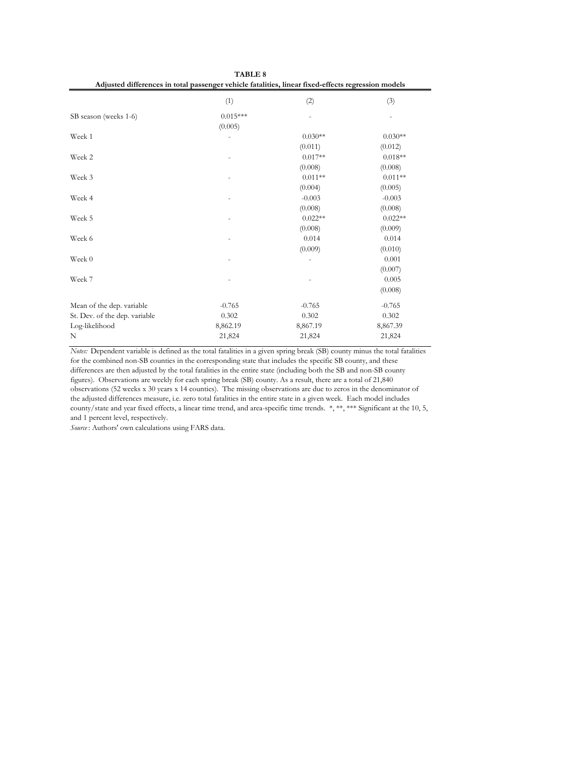| Adjusted differences in total passenger vehicle fatalities, linear fixed-effects regression models |            |           |           |  |
|----------------------------------------------------------------------------------------------------|------------|-----------|-----------|--|
|                                                                                                    | (1)        | (2)       | (3)       |  |
| SB season (weeks 1-6)                                                                              | $0.015***$ |           |           |  |
|                                                                                                    | (0.005)    |           |           |  |
| Week 1                                                                                             |            | $0.030**$ | $0.030**$ |  |
|                                                                                                    |            | (0.011)   | (0.012)   |  |
| Week 2                                                                                             |            | $0.017**$ | $0.018**$ |  |
|                                                                                                    |            | (0.008)   | (0.008)   |  |
| Week 3                                                                                             |            | $0.011**$ | $0.011**$ |  |
|                                                                                                    |            | (0.004)   | (0.005)   |  |
| Week 4                                                                                             |            | $-0.003$  | $-0.003$  |  |
|                                                                                                    |            | (0.008)   | (0.008)   |  |
| Week 5                                                                                             |            | $0.022**$ | $0.022**$ |  |
|                                                                                                    |            | (0.008)   | (0.009)   |  |
| Week 6                                                                                             |            | 0.014     | 0.014     |  |
|                                                                                                    |            | (0.009)   | (0.010)   |  |
| Week 0                                                                                             |            |           | 0.001     |  |
|                                                                                                    |            |           | (0.007)   |  |
| Week 7                                                                                             |            |           | 0.005     |  |
|                                                                                                    |            |           | (0.008)   |  |
| Mean of the dep. variable                                                                          | $-0.765$   | $-0.765$  | $-0.765$  |  |
| St. Dev. of the dep. variable                                                                      | 0.302      | 0.302     | 0.302     |  |
| Log-likelihood                                                                                     | 8,862.19   | 8,867.19  | 8,867.39  |  |
| N                                                                                                  | 21,824     | 21,824    | 21,824    |  |

*Notes:* Dependent variable is defined as the total fatalities in a given spring break (SB) county minus the total fatalities for the combined non-SB counties in the corresponding state that includes the specific SB county, and these differences are then adjusted by the total fatalities in the entire state (including both the SB and non-SB county figures). Observations are weekly for each spring break (SB) county. As a result, there are a total of 21,840 observations (52 weeks x 30 years x 14 counties). The missing observations are due to zeros in the denominator of the adjusted differences measure, i.e. zero total fatalities in the entire state in a given week. Each model includes county/state and year fixed effects, a linear time trend, and area-specific time trends. \*, \*\*, \*\*\* Significant at the 10, 5, and 1 percent level, respectively.

**TABLE 8**